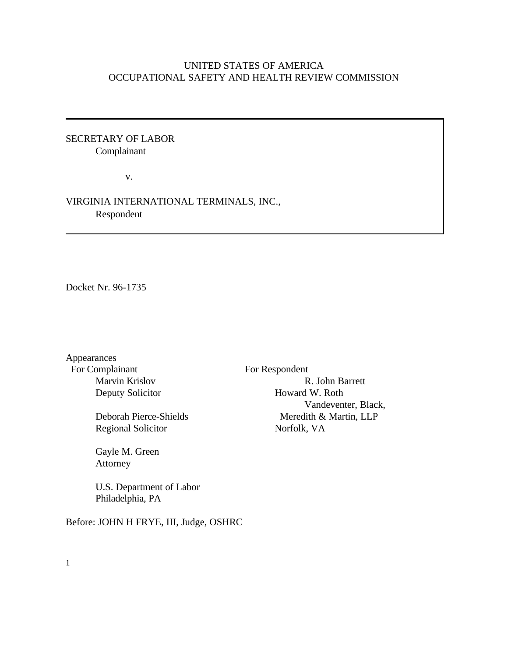# UNITED STATES OF AMERICA OCCUPATIONAL SAFETY AND HEALTH REVIEW COMMISSION

## SECRETARY OF LABOR Complainant

v.

# VIRGINIA INTERNATIONAL TERMINALS, INC., Respondent

Docket Nr. 96-1735

Appearances For Complainant For Respondent

Regional Solicitor Norfolk, VA

Gayle M. Green Attorney

U.S. Department of Labor Philadelphia, PA

Before: JOHN H FRYE, III, Judge, OSHRC

Marvin Krislov R. John Barrett Deputy Solicitor **Howard W. Roth** Vandeventer, Black, Deborah Pierce-Shields Meredith & Martin, LLP

1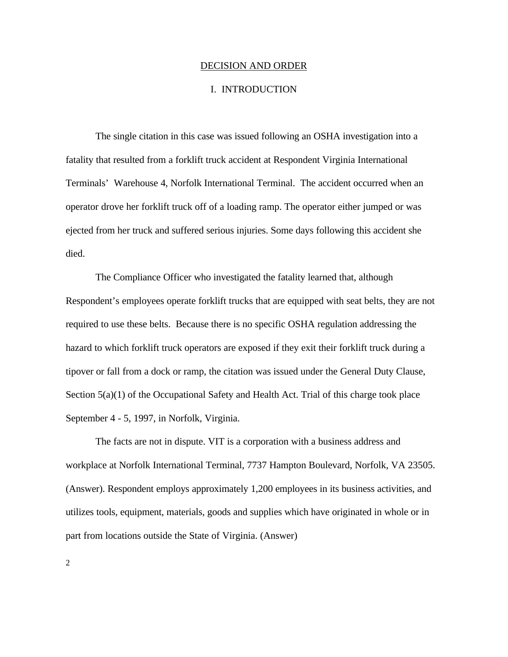#### DECISION AND ORDER

#### I. INTRODUCTION

The single citation in this case was issued following an OSHA investigation into a fatality that resulted from a forklift truck accident at Respondent Virginia International Terminals' Warehouse 4, Norfolk International Terminal. The accident occurred when an operator drove her forklift truck off of a loading ramp. The operator either jumped or was ejected from her truck and suffered serious injuries. Some days following this accident she died.

The Compliance Officer who investigated the fatality learned that, although Respondent's employees operate forklift trucks that are equipped with seat belts, they are not required to use these belts. Because there is no specific OSHA regulation addressing the hazard to which forklift truck operators are exposed if they exit their forklift truck during a tipover or fall from a dock or ramp, the citation was issued under the General Duty Clause, Section  $5(a)(1)$  of the Occupational Safety and Health Act. Trial of this charge took place September 4 - 5, 1997, in Norfolk, Virginia.

The facts are not in dispute. VIT is a corporation with a business address and workplace at Norfolk International Terminal, 7737 Hampton Boulevard, Norfolk, VA 23505. (Answer). Respondent employs approximately 1,200 employees in its business activities, and utilizes tools, equipment, materials, goods and supplies which have originated in whole or in part from locations outside the State of Virginia. (Answer)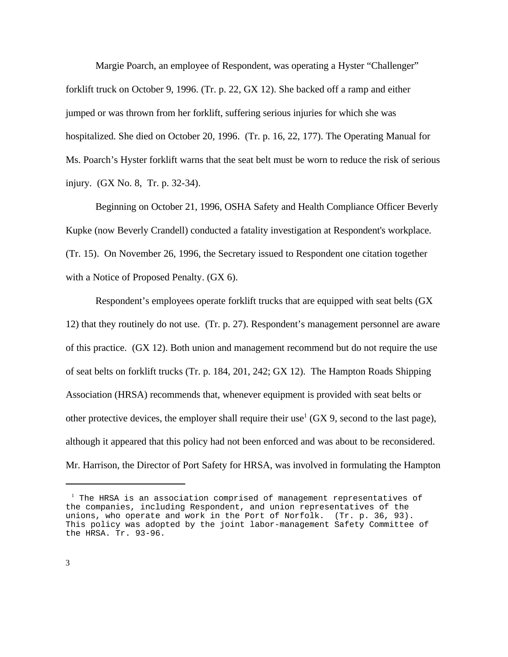Margie Poarch, an employee of Respondent, was operating a Hyster "Challenger" forklift truck on October 9, 1996. (Tr. p. 22, GX 12). She backed off a ramp and either jumped or was thrown from her forklift, suffering serious injuries for which she was hospitalized. She died on October 20, 1996. (Tr. p. 16, 22, 177). The Operating Manual for Ms. Poarch's Hyster forklift warns that the seat belt must be worn to reduce the risk of serious injury. (GX No. 8, Tr. p. 32-34).

Beginning on October 21, 1996, OSHA Safety and Health Compliance Officer Beverly Kupke (now Beverly Crandell) conducted a fatality investigation at Respondent's workplace. (Tr. 15). On November 26, 1996, the Secretary issued to Respondent one citation together with a Notice of Proposed Penalty. (GX 6).

Respondent's employees operate forklift trucks that are equipped with seat belts (GX 12) that they routinely do not use. (Tr. p. 27). Respondent's management personnel are aware of this practice. (GX 12). Both union and management recommend but do not require the use of seat belts on forklift trucks (Tr. p. 184, 201, 242; GX 12). The Hampton Roads Shipping Association (HRSA) recommends that, whenever equipment is provided with seat belts or other protective devices, the employer shall require their use<sup>1</sup> (GX 9, second to the last page), although it appeared that this policy had not been enforced and was about to be reconsidered. Mr. Harrison, the Director of Port Safety for HRSA, was involved in formulating the Hampton

 $1$  The HRSA is an association comprised of management representatives of the companies, including Respondent, and union representatives of the unions, who operate and work in the Port of Norfolk. (Tr. p. 36, 93). This policy was adopted by the joint labor-management Safety Committee of the HRSA. Tr. 93-96.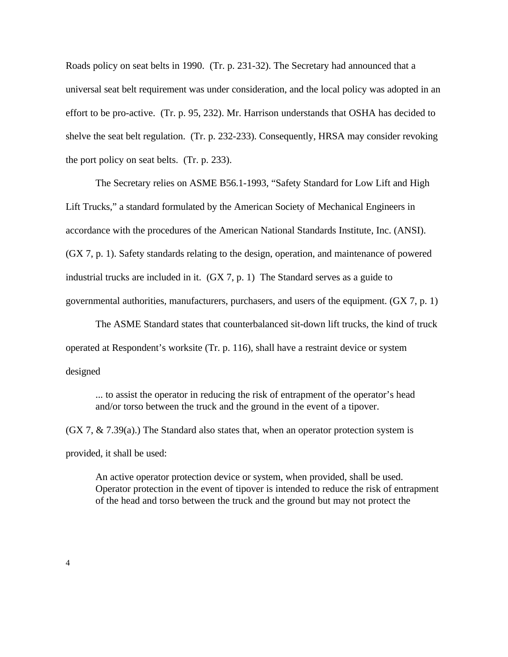Roads policy on seat belts in 1990. (Tr. p. 231-32). The Secretary had announced that a universal seat belt requirement was under consideration, and the local policy was adopted in an effort to be pro-active. (Tr. p. 95, 232). Mr. Harrison understands that OSHA has decided to shelve the seat belt regulation. (Tr. p. 232-233). Consequently, HRSA may consider revoking the port policy on seat belts. (Tr. p. 233).

The Secretary relies on ASME B56.1-1993, "Safety Standard for Low Lift and High Lift Trucks," a standard formulated by the American Society of Mechanical Engineers in accordance with the procedures of the American National Standards Institute, Inc. (ANSI). (GX 7, p. 1). Safety standards relating to the design, operation, and maintenance of powered industrial trucks are included in it. (GX 7, p. 1) The Standard serves as a guide to governmental authorities, manufacturers, purchasers, and users of the equipment. (GX 7, p. 1)

The ASME Standard states that counterbalanced sit-down lift trucks, the kind of truck operated at Respondent's worksite (Tr. p. 116), shall have a restraint device or system designed

... to assist the operator in reducing the risk of entrapment of the operator's head and/or torso between the truck and the ground in the event of a tipover.

 $(GX 7, \& 7.39(a))$  The Standard also states that, when an operator protection system is provided, it shall be used:

An active operator protection device or system, when provided, shall be used. Operator protection in the event of tipover is intended to reduce the risk of entrapment of the head and torso between the truck and the ground but may not protect the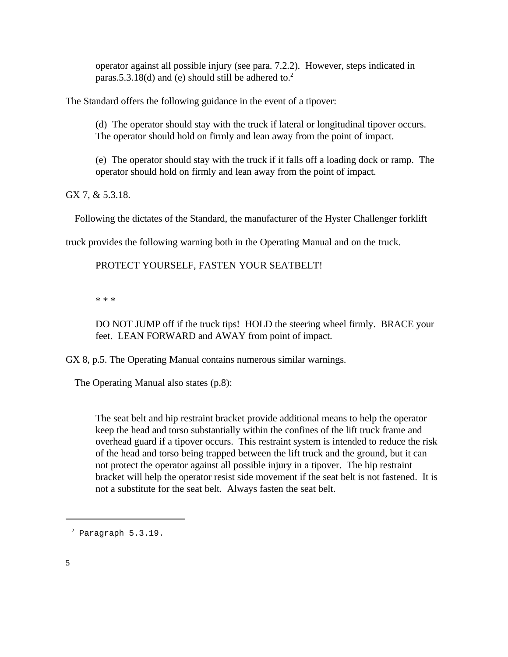operator against all possible injury (see para. 7.2.2). However, steps indicated in paras.5.3.18(d) and (e) should still be adhered to.<sup>2</sup>

The Standard offers the following guidance in the event of a tipover:

(d) The operator should stay with the truck if lateral or longitudinal tipover occurs. The operator should hold on firmly and lean away from the point of impact.

(e) The operator should stay with the truck if it falls off a loading dock or ramp. The operator should hold on firmly and lean away from the point of impact.

GX 7, & 5.3.18.

Following the dictates of the Standard, the manufacturer of the Hyster Challenger forklift

truck provides the following warning both in the Operating Manual and on the truck.

PROTECT YOURSELF, FASTEN YOUR SEATBELT!

\* \* \*

DO NOT JUMP off if the truck tips! HOLD the steering wheel firmly. BRACE your feet. LEAN FORWARD and AWAY from point of impact.

GX 8, p.5. The Operating Manual contains numerous similar warnings.

The Operating Manual also states (p.8):

The seat belt and hip restraint bracket provide additional means to help the operator keep the head and torso substantially within the confines of the lift truck frame and overhead guard if a tipover occurs. This restraint system is intended to reduce the risk of the head and torso being trapped between the lift truck and the ground, but it can not protect the operator against all possible injury in a tipover. The hip restraint bracket will help the operator resist side movement if the seat belt is not fastened. It is not a substitute for the seat belt. Always fasten the seat belt.

 $2$  Paragraph  $5.3.19$ .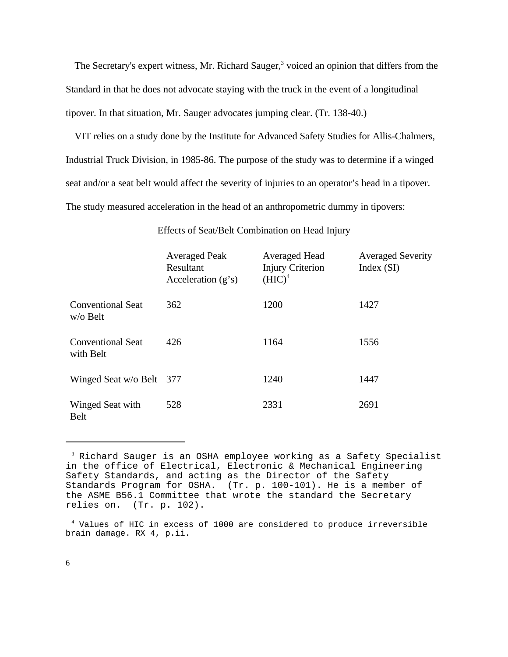The Secretary's expert witness, Mr. Richard Sauger,<sup>3</sup> voiced an opinion that differs from the Standard in that he does not advocate staying with the truck in the event of a longitudinal tipover. In that situation, Mr. Sauger advocates jumping clear. (Tr. 138-40.)

VIT relies on a study done by the Institute for Advanced Safety Studies for Allis-Chalmers, Industrial Truck Division, in 1985-86. The purpose of the study was to determine if a winged seat and/or a seat belt would affect the severity of injuries to an operator's head in a tipover. The study measured acceleration in the head of an anthropometric dummy in tipovers:

|                                         | <b>Averaged Peak</b><br>Resultant<br>Acceleration $(g's)$ | Averaged Head<br><b>Injury Criterion</b><br>$(HIC)^4$ | <b>Averaged Severity</b><br>Index $(SI)$ |
|-----------------------------------------|-----------------------------------------------------------|-------------------------------------------------------|------------------------------------------|
| <b>Conventional Seat</b><br>$w$ /o Belt | 362                                                       | 1200                                                  | 1427                                     |
| <b>Conventional Seat</b><br>with Belt   | 426                                                       | 1164                                                  | 1556                                     |
| Winged Seat w/o Belt 377                |                                                           | 1240                                                  | 1447                                     |
| Winged Seat with<br>Belt                | 528                                                       | 2331                                                  | 2691                                     |

Effects of Seat/Belt Combination on Head Injury

<sup>3</sup> Richard Sauger is an OSHA employee working as a Safety Specialist in the office of Electrical, Electronic & Mechanical Engineering Safety Standards, and acting as the Director of the Safety Standards Program for OSHA. (Tr. p. 100-101). He is a member of the ASME B56.1 Committee that wrote the standard the Secretary relies on. (Tr. p. 102).

<sup>4</sup> Values of HIC in excess of 1000 are considered to produce irreversible brain damage. RX 4, p.ii.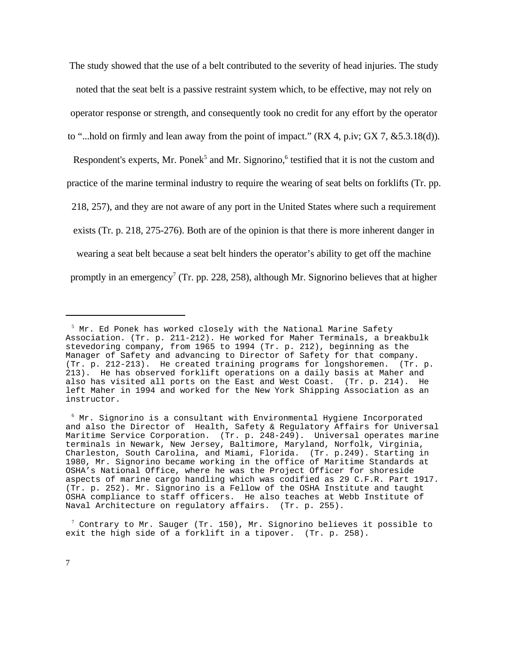The study showed that the use of a belt contributed to the severity of head injuries. The study noted that the seat belt is a passive restraint system which, to be effective, may not rely on operator response or strength, and consequently took no credit for any effort by the operator

to "...hold on firmly and lean away from the point of impact."  $(RX 4, p.i v; GX 7, & 5.3.18(d))$ .

Respondent's experts, Mr. Ponek<sup>5</sup> and Mr. Signorino,<sup>6</sup> testified that it is not the custom and

practice of the marine terminal industry to require the wearing of seat belts on forklifts (Tr. pp.

218, 257), and they are not aware of any port in the United States where such a requirement

exists (Tr. p. 218, 275-276). Both are of the opinion is that there is more inherent danger in

wearing a seat belt because a seat belt hinders the operator's ability to get off the machine

promptly in an emergency<sup>7</sup> (Tr. pp. 228, 258), although Mr. Signorino believes that at higher

 $7$  Contrary to Mr. Sauger (Tr. 150), Mr. Signorino believes it possible to exit the high side of a forklift in a tipover. (Tr. p. 258).

 $<sup>5</sup>$  Mr. Ed Ponek has worked closely with the National Marine Safety</sup> Association. (Tr. p. 211-212). He worked for Maher Terminals, a breakbulk stevedoring company, from 1965 to 1994 (Tr. p. 212), beginning as the Manager of Safety and advancing to Director of Safety for that company. (Tr. p. 212-213). He created training programs for longshoremen. (Tr. p. 213). He has observed forklift operations on a daily basis at Maher and also has visited all ports on the East and West Coast. (Tr. p. 214). He left Maher in 1994 and worked for the New York Shipping Association as an instructor.

 $6$  Mr. Signorino is a consultant with Environmental Hygiene Incorporated and also the Director of Health, Safety & Regulatory Affairs for Universal Maritime Service Corporation. (Tr. p. 248-249). Universal operates marine terminals in Newark, New Jersey, Baltimore, Maryland, Norfolk, Virginia, Charleston, South Carolina, and Miami, Florida. (Tr. p.249). Starting in 1980, Mr. Signorino became working in the office of Maritime Standards at OSHA's National Office, where he was the Project Officer for shoreside aspects of marine cargo handling which was codified as 29 C.F.R. Part 1917. (Tr. p. 252). Mr. Signorino is a Fellow of the OSHA Institute and taught OSHA compliance to staff officers. He also teaches at Webb Institute of Naval Architecture on regulatory affairs. (Tr. p. 255).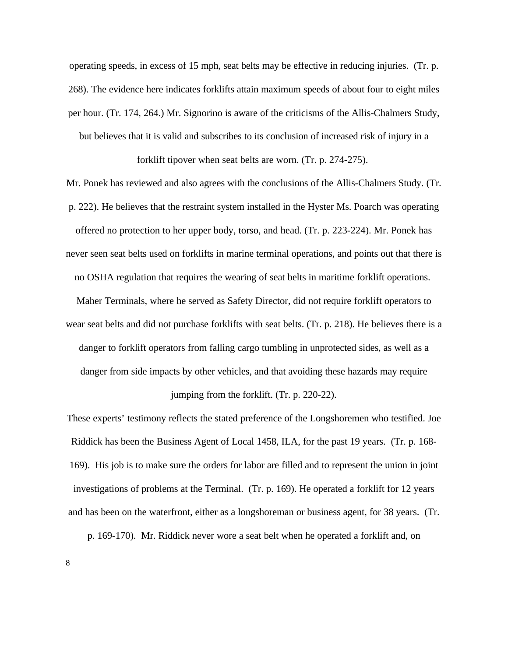operating speeds, in excess of 15 mph, seat belts may be effective in reducing injuries. (Tr. p. 268). The evidence here indicates forklifts attain maximum speeds of about four to eight miles per hour. (Tr. 174, 264.) Mr. Signorino is aware of the criticisms of the Allis-Chalmers Study, but believes that it is valid and subscribes to its conclusion of increased risk of injury in a

forklift tipover when seat belts are worn. (Tr. p. 274-275).

Mr. Ponek has reviewed and also agrees with the conclusions of the Allis-Chalmers Study. (Tr. p. 222). He believes that the restraint system installed in the Hyster Ms. Poarch was operating offered no protection to her upper body, torso, and head. (Tr. p. 223-224). Mr. Ponek has never seen seat belts used on forklifts in marine terminal operations, and points out that there is no OSHA regulation that requires the wearing of seat belts in maritime forklift operations. Maher Terminals, where he served as Safety Director, did not require forklift operators to wear seat belts and did not purchase forklifts with seat belts. (Tr. p. 218). He believes there is a danger to forklift operators from falling cargo tumbling in unprotected sides, as well as a danger from side impacts by other vehicles, and that avoiding these hazards may require

jumping from the forklift. (Tr. p. 220-22).

These experts' testimony reflects the stated preference of the Longshoremen who testified. Joe Riddick has been the Business Agent of Local 1458, ILA, for the past 19 years. (Tr. p. 168- 169). His job is to make sure the orders for labor are filled and to represent the union in joint investigations of problems at the Terminal. (Tr. p. 169). He operated a forklift for 12 years and has been on the waterfront, either as a longshoreman or business agent, for 38 years. (Tr.

p. 169-170). Mr. Riddick never wore a seat belt when he operated a forklift and, on

8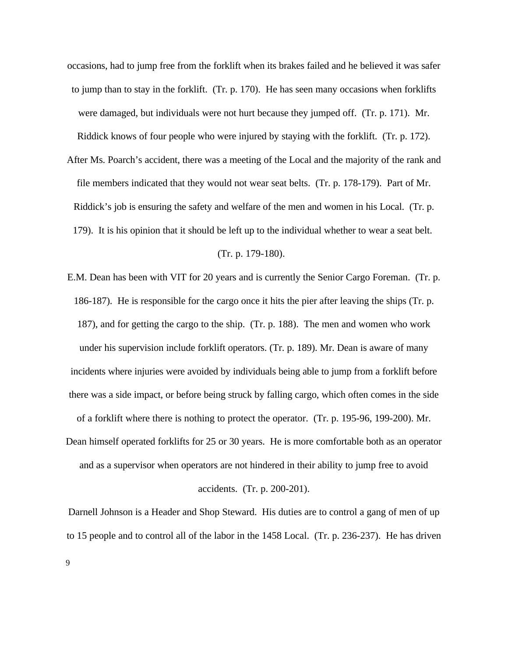occasions, had to jump free from the forklift when its brakes failed and he believed it was safer to jump than to stay in the forklift. (Tr. p. 170). He has seen many occasions when forklifts were damaged, but individuals were not hurt because they jumped off. (Tr. p. 171). Mr.

Riddick knows of four people who were injured by staying with the forklift. (Tr. p. 172).

After Ms. Poarch's accident, there was a meeting of the Local and the majority of the rank and file members indicated that they would not wear seat belts. (Tr. p. 178-179). Part of Mr. Riddick's job is ensuring the safety and welfare of the men and women in his Local. (Tr. p. 179). It is his opinion that it should be left up to the individual whether to wear a seat belt.

### (Tr. p. 179-180).

E.M. Dean has been with VIT for 20 years and is currently the Senior Cargo Foreman. (Tr. p. 186-187). He is responsible for the cargo once it hits the pier after leaving the ships (Tr. p. 187), and for getting the cargo to the ship. (Tr. p. 188). The men and women who work under his supervision include forklift operators. (Tr. p. 189). Mr. Dean is aware of many incidents where injuries were avoided by individuals being able to jump from a forklift before there was a side impact, or before being struck by falling cargo, which often comes in the side of a forklift where there is nothing to protect the operator. (Tr. p. 195-96, 199-200). Mr. Dean himself operated forklifts for 25 or 30 years. He is more comfortable both as an operator and as a supervisor when operators are not hindered in their ability to jump free to avoid

### accidents. (Tr. p. 200-201).

Darnell Johnson is a Header and Shop Steward. His duties are to control a gang of men of up to 15 people and to control all of the labor in the 1458 Local. (Tr. p. 236-237). He has driven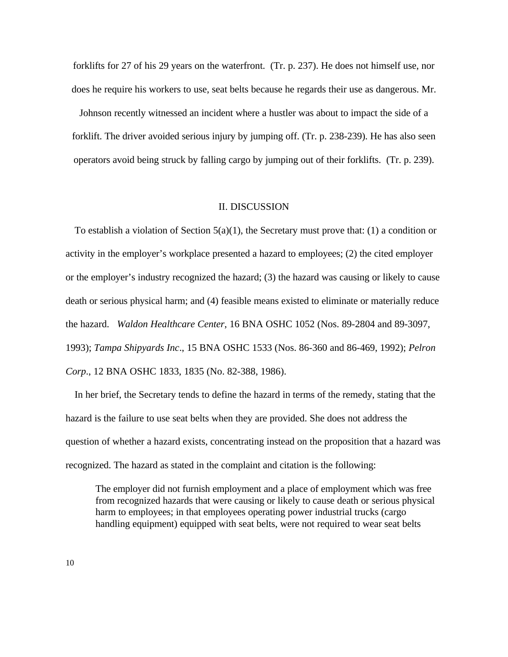forklifts for 27 of his 29 years on the waterfront. (Tr. p. 237). He does not himself use, nor does he require his workers to use, seat belts because he regards their use as dangerous. Mr.

Johnson recently witnessed an incident where a hustler was about to impact the side of a forklift. The driver avoided serious injury by jumping off. (Tr. p. 238-239). He has also seen operators avoid being struck by falling cargo by jumping out of their forklifts. (Tr. p. 239).

### II. DISCUSSION

To establish a violation of Section  $5(a)(1)$ , the Secretary must prove that: (1) a condition or activity in the employer's workplace presented a hazard to employees; (2) the cited employer or the employer's industry recognized the hazard; (3) the hazard was causing or likely to cause death or serious physical harm; and (4) feasible means existed to eliminate or materially reduce the hazard. *Waldon Healthcare Center*, 16 BNA OSHC 1052 (Nos. 89-2804 and 89-3097, 1993); *Tampa Shipyards Inc*., 15 BNA OSHC 1533 (Nos. 86-360 and 86-469, 1992); *Pelron Corp*., 12 BNA OSHC 1833, 1835 (No. 82-388, 1986).

In her brief, the Secretary tends to define the hazard in terms of the remedy, stating that the hazard is the failure to use seat belts when they are provided. She does not address the question of whether a hazard exists, concentrating instead on the proposition that a hazard was recognized. The hazard as stated in the complaint and citation is the following:

The employer did not furnish employment and a place of employment which was free from recognized hazards that were causing or likely to cause death or serious physical harm to employees; in that employees operating power industrial trucks (cargo handling equipment) equipped with seat belts, were not required to wear seat belts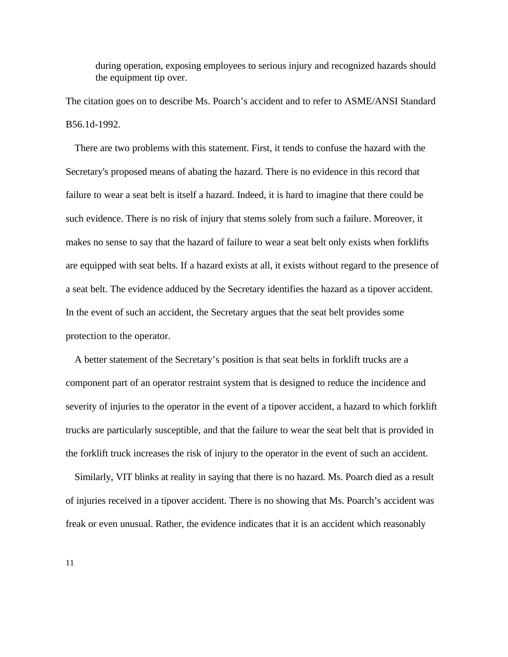during operation, exposing employees to serious injury and recognized hazards should the equipment tip over.

The citation goes on to describe Ms. Poarch's accident and to refer to ASME/ANSI Standard B56.1d-1992.

There are two problems with this statement. First, it tends to confuse the hazard with the Secretary's proposed means of abating the hazard. There is no evidence in this record that failure to wear a seat belt is itself a hazard. Indeed, it is hard to imagine that there could be such evidence. There is no risk of injury that stems solely from such a failure. Moreover, it makes no sense to say that the hazard of failure to wear a seat belt only exists when forklifts are equipped with seat belts. If a hazard exists at all, it exists without regard to the presence of a seat belt. The evidence adduced by the Secretary identifies the hazard as a tipover accident. In the event of such an accident, the Secretary argues that the seat belt provides some protection to the operator.

A better statement of the Secretary's position is that seat belts in forklift trucks are a component part of an operator restraint system that is designed to reduce the incidence and severity of injuries to the operator in the event of a tipover accident, a hazard to which forklift trucks are particularly susceptible, and that the failure to wear the seat belt that is provided in the forklift truck increases the risk of injury to the operator in the event of such an accident.

Similarly, VIT blinks at reality in saying that there is no hazard. Ms. Poarch died as a result of injuries received in a tipover accident. There is no showing that Ms. Poarch's accident was freak or even unusual. Rather, the evidence indicates that it is an accident which reasonably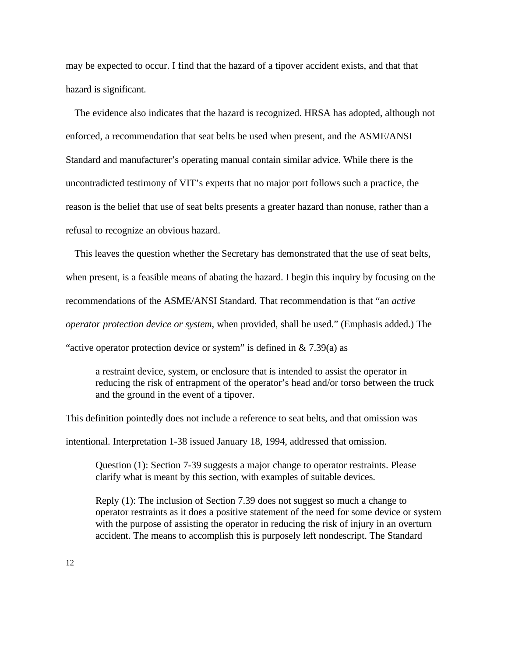may be expected to occur. I find that the hazard of a tipover accident exists, and that that hazard is significant.

The evidence also indicates that the hazard is recognized. HRSA has adopted, although not enforced, a recommendation that seat belts be used when present, and the ASME/ANSI Standard and manufacturer's operating manual contain similar advice. While there is the uncontradicted testimony of VIT's experts that no major port follows such a practice, the reason is the belief that use of seat belts presents a greater hazard than nonuse, rather than a refusal to recognize an obvious hazard.

This leaves the question whether the Secretary has demonstrated that the use of seat belts, when present, is a feasible means of abating the hazard. I begin this inquiry by focusing on the recommendations of the ASME/ANSI Standard. That recommendation is that "an *active operator protection device or system*, when provided, shall be used." (Emphasis added.) The "active operator protection device or system" is defined in  $& 7.39(a)$  as

a restraint device, system, or enclosure that is intended to assist the operator in reducing the risk of entrapment of the operator's head and/or torso between the truck and the ground in the event of a tipover.

This definition pointedly does not include a reference to seat belts, and that omission was

intentional. Interpretation 1-38 issued January 18, 1994, addressed that omission.

Question (1): Section 7-39 suggests a major change to operator restraints. Please clarify what is meant by this section, with examples of suitable devices.

Reply (1): The inclusion of Section 7.39 does not suggest so much a change to operator restraints as it does a positive statement of the need for some device or system with the purpose of assisting the operator in reducing the risk of injury in an overturn accident. The means to accomplish this is purposely left nondescript. The Standard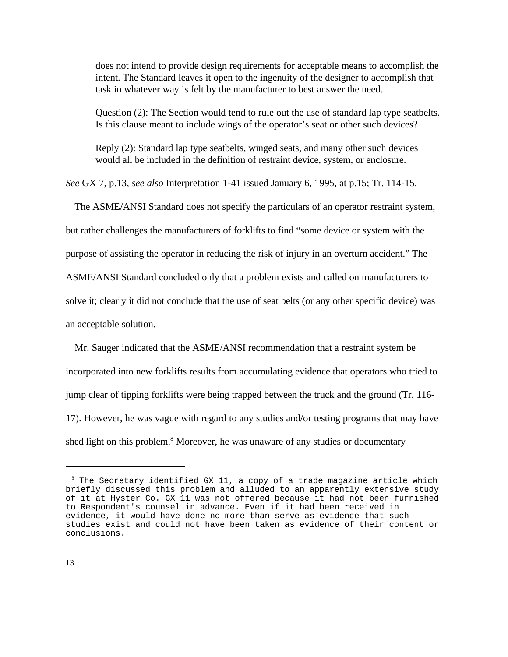does not intend to provide design requirements for acceptable means to accomplish the intent. The Standard leaves it open to the ingenuity of the designer to accomplish that task in whatever way is felt by the manufacturer to best answer the need.

Question (2): The Section would tend to rule out the use of standard lap type seatbelts. Is this clause meant to include wings of the operator's seat or other such devices?

Reply (2): Standard lap type seatbelts, winged seats, and many other such devices would all be included in the definition of restraint device, system, or enclosure.

*See* GX 7, p.13, *see also* Interpretation 1-41 issued January 6, 1995, at p.15; Tr. 114-15.

The ASME/ANSI Standard does not specify the particulars of an operator restraint system,

but rather challenges the manufacturers of forklifts to find "some device or system with the

purpose of assisting the operator in reducing the risk of injury in an overturn accident." The

ASME/ANSI Standard concluded only that a problem exists and called on manufacturers to

solve it; clearly it did not conclude that the use of seat belts (or any other specific device) was

an acceptable solution.

Mr. Sauger indicated that the ASME/ANSI recommendation that a restraint system be incorporated into new forklifts results from accumulating evidence that operators who tried to jump clear of tipping forklifts were being trapped between the truck and the ground (Tr. 116- 17). However, he was vague with regard to any studies and/or testing programs that may have shed light on this problem.<sup>8</sup> Moreover, he was unaware of any studies or documentary

 $8$  The Secretary identified GX 11, a copy of a trade magazine article which briefly discussed this problem and alluded to an apparently extensive study of it at Hyster Co. GX 11 was not offered because it had not been furnished to Respondent's counsel in advance. Even if it had been received in evidence, it would have done no more than serve as evidence that such studies exist and could not have been taken as evidence of their content or conclusions.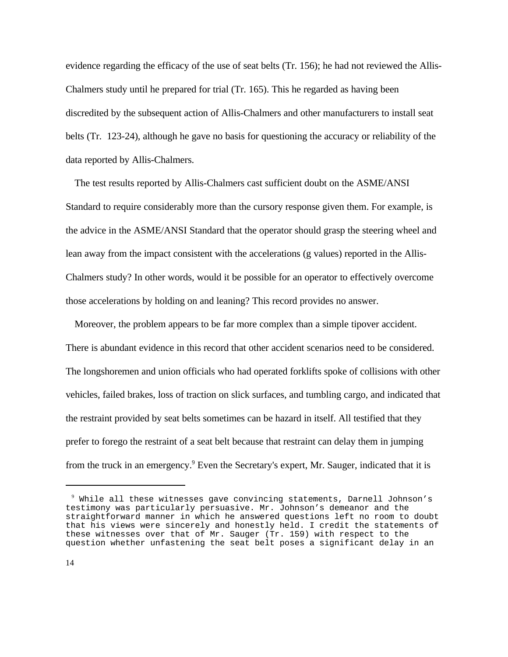evidence regarding the efficacy of the use of seat belts (Tr. 156); he had not reviewed the Allis-Chalmers study until he prepared for trial (Tr. 165). This he regarded as having been discredited by the subsequent action of Allis-Chalmers and other manufacturers to install seat belts (Tr. 123-24), although he gave no basis for questioning the accuracy or reliability of the data reported by Allis-Chalmers.

The test results reported by Allis-Chalmers cast sufficient doubt on the ASME/ANSI Standard to require considerably more than the cursory response given them. For example, is the advice in the ASME/ANSI Standard that the operator should grasp the steering wheel and lean away from the impact consistent with the accelerations (g values) reported in the Allis-Chalmers study? In other words, would it be possible for an operator to effectively overcome those accelerations by holding on and leaning? This record provides no answer.

Moreover, the problem appears to be far more complex than a simple tipover accident. There is abundant evidence in this record that other accident scenarios need to be considered. The longshoremen and union officials who had operated forklifts spoke of collisions with other vehicles, failed brakes, loss of traction on slick surfaces, and tumbling cargo, and indicated that the restraint provided by seat belts sometimes can be hazard in itself. All testified that they prefer to forego the restraint of a seat belt because that restraint can delay them in jumping from the truck in an emergency.<sup>9</sup> Even the Secretary's expert, Mr. Sauger, indicated that it is

<sup>9</sup> While all these witnesses gave convincing statements, Darnell Johnson's testimony was particularly persuasive. Mr. Johnson's demeanor and the straightforward manner in which he answered questions left no room to doubt that his views were sincerely and honestly held. I credit the statements of these witnesses over that of Mr. Sauger (Tr. 159) with respect to the question whether unfastening the seat belt poses a significant delay in an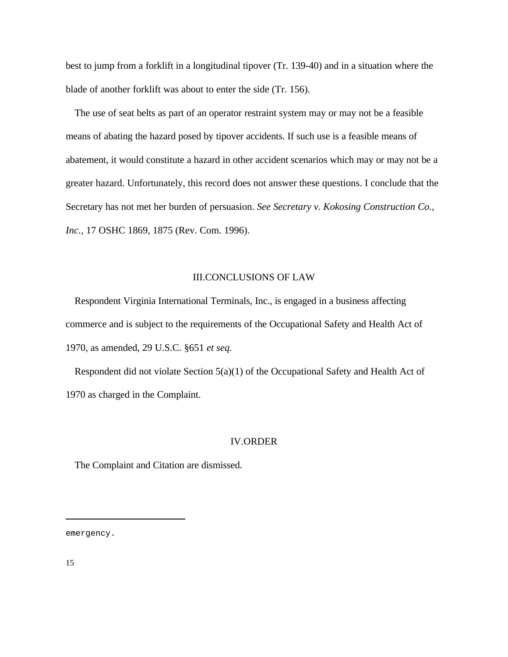best to jump from a forklift in a longitudinal tipover (Tr. 139-40) and in a situation where the blade of another forklift was about to enter the side (Tr. 156).

The use of seat belts as part of an operator restraint system may or may not be a feasible means of abating the hazard posed by tipover accidents. If such use is a feasible means of abatement, it would constitute a hazard in other accident scenarios which may or may not be a greater hazard. Unfortunately, this record does not answer these questions. I conclude that the Secretary has not met her burden of persuasion. *See Secretary v. Kokosing Construction Co., Inc.,* 17 OSHC 1869, 1875 (Rev. Com. 1996).

### III.CONCLUSIONS OF LAW

Respondent Virginia International Terminals, Inc., is engaged in a business affecting commerce and is subject to the requirements of the Occupational Safety and Health Act of 1970, as amended, 29 U.S.C. §651 *et seq.*

Respondent did not violate Section 5(a)(1) of the Occupational Safety and Health Act of 1970 as charged in the Complaint.

#### IV.ORDER

The Complaint and Citation are dismissed.

emergency.